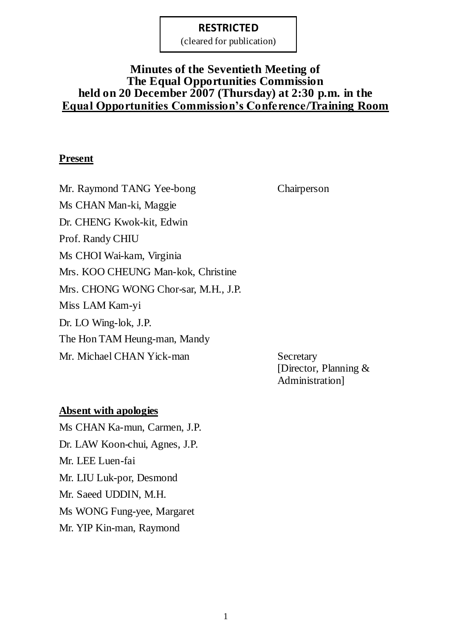(cleared for publication)

# **Minutes of the Seventieth Meeting of The Equal Opportunities Commission held on 20 December 2007 (Thursday) at 2:30 p.m. in the Equal Opportunities Commission's Conference/Training Room**

### **Present**

Mr. Raymond TANG Yee-bong Chairperson Ms CHAN Man-ki, Maggie Dr. CHENG Kwok-kit, Edwin Prof. Randy CHIU Ms CHOI Wai-kam, Virginia Mrs. KOO CHEUNG Man-kok, Christine Mrs. CHONG WONG Chor-sar, M.H., J.P. Miss LAM Kam-yi Dr. LO Wing-lok, J.P. The Hon TAM Heung-man, Mandy Mr. Michael CHAN Yick-man Secretary

[Director, Planning & Administration]

#### **Absent with apologies**

Ms CHAN Ka-mun, Carmen, J.P. Dr. LAW Koon-chui, Agnes, J.P. Mr. LEE Luen-fai Mr. LIU Luk-por, Desmond Mr. Saeed UDDIN, M.H. Ms WONG Fung-yee, Margaret Mr. YIP Kin-man, Raymond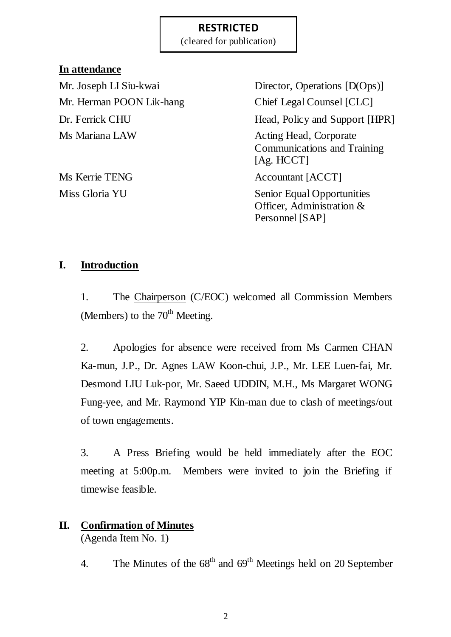(cleared for publication)

## **In attendance**

Mr. Herman POON Lik-hang Chief Legal Counsel [CLC] Ms Mariana LAW Acting Head, Corporate

Mr. Joseph LI Siu-kwai Director, Operations [D(Ops)] Dr. Ferrick CHU Head, Policy and Support [HPR] Communications and Training [Ag. HCCT] Ms Kerrie TENG Accountant [ACCT] Miss Gloria YU Senior Equal Opportunities Officer, Administration &

Personnel [SAP]

# **I. Introduction**

1. The Chairperson (C/EOC) welcomed all Commission Members (Members) to the  $70<sup>th</sup>$  Meeting.

2. Apologies for absence were received from Ms Carmen CHAN Ka-mun, J.P., Dr. Agnes LAW Koon-chui, J.P., Mr. LEE Luen-fai, Mr. Desmond LIU Luk-por, Mr. Saeed UDDIN, M.H., Ms Margaret WONG Fung-yee, and Mr. Raymond YIP Kin-man due to clash of meetings/out of town engagements.

3. A Press Briefing would be held immediately after the EOC meeting at 5:00p.m. Members were invited to join the Briefing if timewise feasible.

# **II. Confirmation of Minutes**

(Agenda Item No. 1)

4. The Minutes of the  $68<sup>th</sup>$  and  $69<sup>th</sup>$  Meetings held on 20 September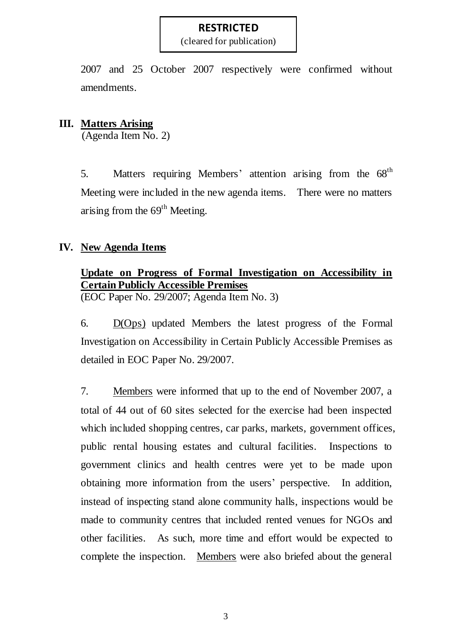(cleared for publication)

2007 and 25 October 2007 respectively were confirmed without amendments.

### **III. Matters Arising**

(Agenda Item No. 2)

5. Matters requiring Members' attention arising from the 68<sup>th</sup> Meeting were included in the new agenda items. There were no matters arising from the  $69<sup>th</sup>$  Meeting.

### **IV. New Agenda Items**

# **Update on Progress of Formal Investigation on Accessibility in Certain Publicly Accessible Premises**

(EOC Paper No. 29/2007; Agenda Item No. 3)

6. D(Ops) updated Members the latest progress of the Formal Investigation on Accessibility in Certain Publicly Accessible Premises as detailed in EOC Paper No. 29/2007.

7. Members were informed that up to the end of November 2007, a total of 44 out of 60 sites selected for the exercise had been inspected which included shopping centres, car parks, markets, government offices, public rental housing estates and cultural facilities. Inspections to government clinics and health centres were yet to be made upon obtaining more information from the users' perspective. In addition, instead of inspecting stand alone community halls, inspections would be made to community centres that included rented venues for NGOs and other facilities. As such, more time and effort would be expected to complete the inspection. Members were also briefed about the general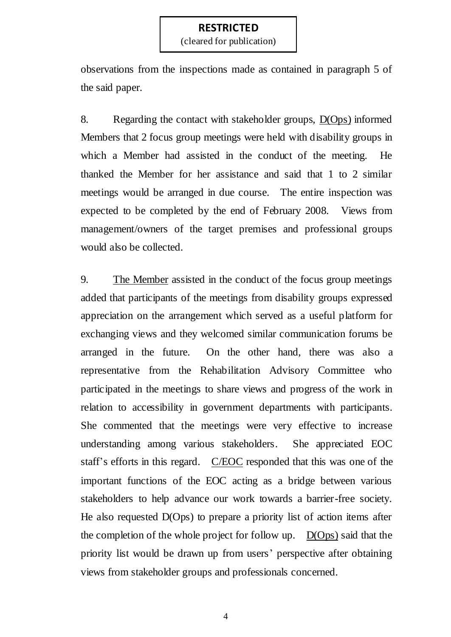(cleared for publication)

observations from the inspections made as contained in paragraph 5 of the said paper.

8. Regarding the contact with stakeholder groups, D(Ops) informed Members that 2 focus group meetings were held with disability groups in which a Member had assisted in the conduct of the meeting. He thanked the Member for her assistance and said that 1 to 2 similar meetings would be arranged in due course. The entire inspection was expected to be completed by the end of February 2008. Views from management/owners of the target premises and professional groups would also be collected.

9. The Member assisted in the conduct of the focus group meetings added that participants of the meetings from disability groups expressed appreciation on the arrangement which served as a useful platform for exchanging views and they welcomed similar communication forums be arranged in the future. On the other hand, there was also a representative from the Rehabilitation Advisory Committee who participated in the meetings to share views and progress of the work in relation to accessibility in government departments with participants. She commented that the meetings were very effective to increase understanding among various stakeholders. She appreciated EOC staff's efforts in this regard. C/EOC responded that this was one of the important functions of the EOC acting as a bridge between various stakeholders to help advance our work towards a barrier-free society. He also requested D(Ops) to prepare a priority list of action items after the completion of the whole project for follow up. D(Ops) said that the priority list would be drawn up from users' perspective after obtaining views from stakeholder groups and professionals concerned.

4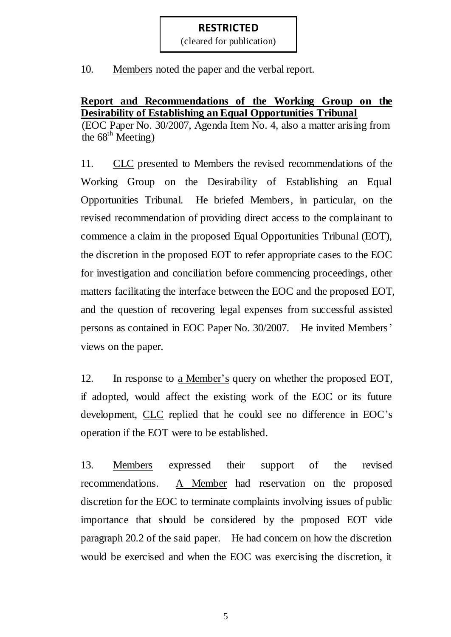(cleared for publication)

10. Members noted the paper and the verbal report.

# **Report and Recommendations of the Working Group on the Desirability of Establishing an Equal Opportunities Tribunal**

(EOC Paper No. 30/2007, Agenda Item No. 4, also a matter arising from the  $68^{\text{th}}$  Meeting)

11. CLC presented to Members the revised recommendations of the Working Group on the Desirability of Establishing an Equal Opportunities Tribunal. He briefed Members, in particular, on the revised recommendation of providing direct access to the complainant to commence a claim in the proposed Equal Opportunities Tribunal (EOT), the discretion in the proposed EOT to refer appropriate cases to the EOC for investigation and conciliation before commencing proceedings, other matters facilitating the interface between the EOC and the proposed EOT, and the question of recovering legal expenses from successful assisted persons as contained in EOC Paper No. 30/2007. He invited Members' views on the paper.

12. In response to <u>a Member's</u> query on whether the proposed EOT, if adopted, would affect the existing work of the EOC or its future development, CLC replied that he could see no difference in EOC's operation if the EOT were to be established.

13. Members expressed their support of the revised recommendations. A Member had reservation on the proposed discretion for the EOC to terminate complaints involving issues of public importance that should be considered by the proposed EOT vide paragraph 20.2 of the said paper. He had concern on how the discretion would be exercised and when the EOC was exercising the discretion, it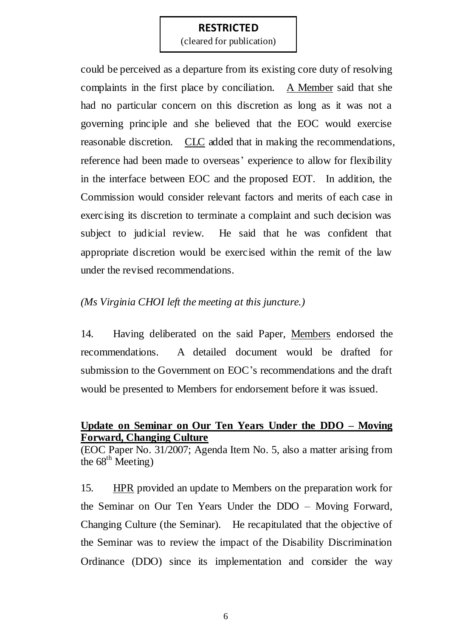(cleared for publication)

could be perceived as a departure from its existing core duty of resolving complaints in the first place by conciliation. A Member said that she had no particular concern on this discretion as long as it was not a governing principle and she believed that the EOC would exercise reasonable discretion. CLC added that in making the recommendations, reference had been made to overseas' experience to allow for flexibility in the interface between EOC and the proposed EOT. In addition, the Commission would consider relevant factors and merits of each case in exercising its discretion to terminate a complaint and such decision was subject to judicial review. He said that he was confident that appropriate discretion would be exercised within the remit of the law under the revised recommendations.

#### *(Ms Virginia CHOI left the meeting at this juncture.)*

14. Having deliberated on the said Paper, Members endorsed the recommendations. A detailed document would be drafted for submission to the Government on EOC's recommendations and the draft would be presented to Members for endorsement before it was issued.

# **Update on Seminar on Our Ten Years Under the DDO – Moving Forward, Changing Culture**

(EOC Paper No. 31/2007; Agenda Item No. 5, also a matter arising from the  $68^{\text{th}}$  Meeting)

15. HPR provided an update to Members on the preparation work for the Seminar on Our Ten Years Under the DDO – Moving Forward, Changing Culture (the Seminar). He recapitulated that the objective of the Seminar was to review the impact of the Disability Discrimination Ordinance (DDO) since its implementation and consider the way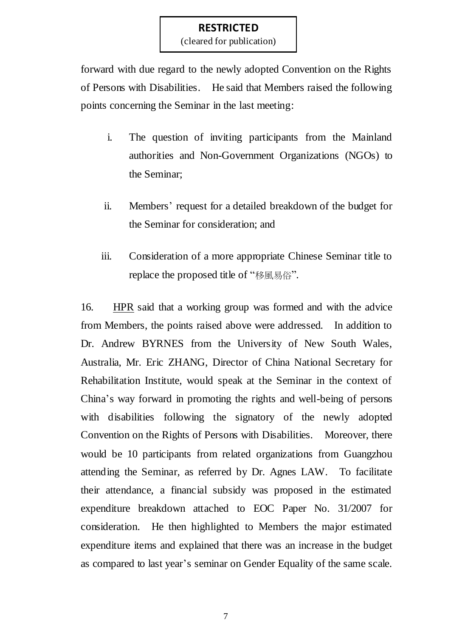(cleared for publication)

forward with due regard to the newly adopted Convention on the Rights of Persons with Disabilities. He said that Members raised the following points concerning the Seminar in the last meeting:

- i. The question of inviting participants from the Mainland authorities and Non-Government Organizations (NGOs) to the Seminar;
- ii. Members' request for a detailed breakdown of the budget for the Seminar for consideration; and
- iii. Consideration of a more appropriate Chinese Seminar title to replace the proposed title of "移風易俗".

16. HPR said that a working group was formed and with the advice from Members, the points raised above were addressed. In addition to Dr. Andrew BYRNES from the University of New South Wales, Australia, Mr. Eric ZHANG, Director of China National Secretary for Rehabilitation Institute, would speak at the Seminar in the context of China's way forward in promoting the rights and well-being of persons with disabilities following the signatory of the newly adopted Convention on the Rights of Persons with Disabilities. Moreover, there would be 10 participants from related organizations from Guangzhou attending the Seminar, as referred by Dr. Agnes LAW. To facilitate their attendance, a financial subsidy was proposed in the estimated expenditure breakdown attached to EOC Paper No. 31/2007 for consideration. He then highlighted to Members the major estimated expenditure items and explained that there was an increase in the budget as compared to last year's seminar on Gender Equality of the same scale.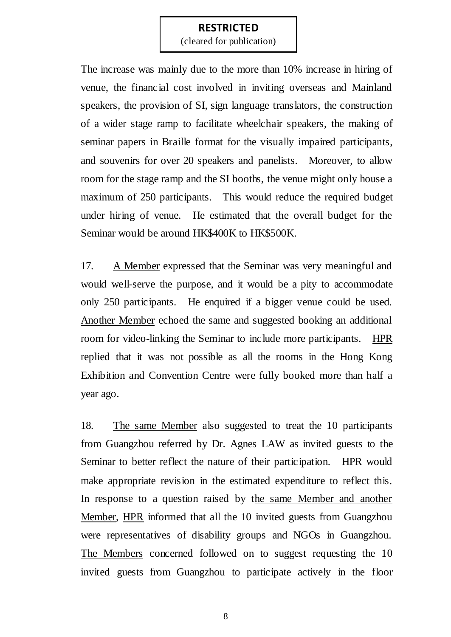(cleared for publication)

The increase was mainly due to the more than 10% increase in hiring of venue, the financial cost involved in inviting overseas and Mainland speakers, the provision of SI, sign language translators, the construction of a wider stage ramp to facilitate wheelchair speakers, the making of seminar papers in Braille format for the visually impaired participants, and souvenirs for over 20 speakers and panelists. Moreover, to allow room for the stage ramp and the SI booths, the venue might only house a maximum of 250 participants. This would reduce the required budget under hiring of venue. He estimated that the overall budget for the Seminar would be around HK\$400K to HK\$500K.

17. A Member expressed that the Seminar was very meaningful and would well-serve the purpose, and it would be a pity to accommodate only 250 participants. He enquired if a bigger venue could be used. Another Member echoed the same and suggested booking an additional room for video-linking the Seminar to include more participants. HPR replied that it was not possible as all the rooms in the Hong Kong Exhibition and Convention Centre were fully booked more than half a year ago.

18. The same Member also suggested to treat the 10 participants from Guangzhou referred by Dr. Agnes LAW as invited guests to the Seminar to better reflect the nature of their participation. HPR would make appropriate revision in the estimated expenditure to reflect this. In response to a question raised by the same Member and another Member, HPR informed that all the 10 invited guests from Guangzhou were representatives of disability groups and NGOs in Guangzhou. The Members concerned followed on to suggest requesting the 10 invited guests from Guangzhou to participate actively in the floor

8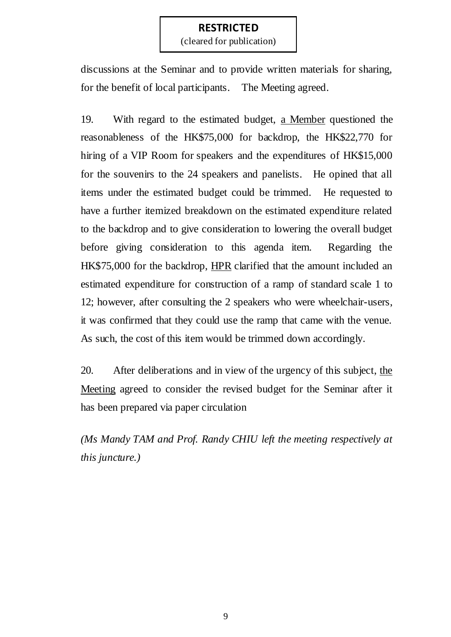(cleared for publication)

discussions at the Seminar and to provide written materials for sharing, for the benefit of local participants. The Meeting agreed.

19. With regard to the estimated budget, a Member questioned the reasonableness of the HK\$75,000 for backdrop, the HK\$22,770 for hiring of a VIP Room for speakers and the expenditures of HK\$15,000 for the souvenirs to the 24 speakers and panelists. He opined that all items under the estimated budget could be trimmed. He requested to have a further itemized breakdown on the estimated expenditure related to the backdrop and to give consideration to lowering the overall budget before giving consideration to this agenda item. Regarding the HK\$75,000 for the backdrop, HPR clarified that the amount included an estimated expenditure for construction of a ramp of standard scale 1 to 12; however, after consulting the 2 speakers who were wheelchair-users, it was confirmed that they could use the ramp that came with the venue. As such, the cost of this item would be trimmed down accordingly.

20. After deliberations and in view of the urgency of this subject, the Meeting agreed to consider the revised budget for the Seminar after it has been prepared via paper circulation

*(Ms Mandy TAM and Prof. Randy CHIU left the meeting respectively at this juncture.)*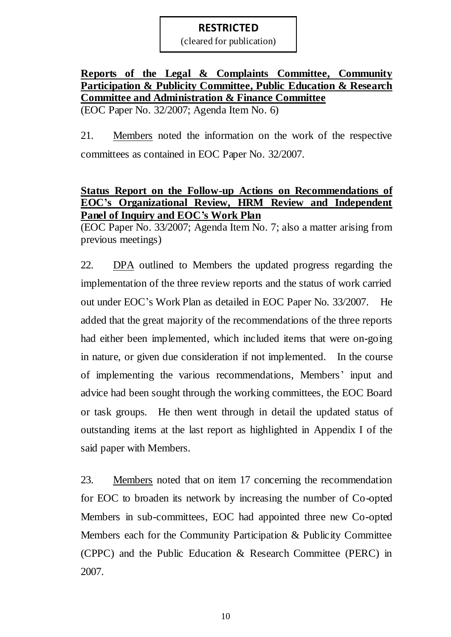(cleared for publication)

### **Reports of the Legal & Complaints Committee, Community Participation & Publicity Committee, Public Education & Research Committee and Administration & Finance Committee** (EOC Paper No. 32/2007; Agenda Item No. 6)

21. Members noted the information on the work of the respective committees as contained in EOC Paper No. 32/2007.

## **Status Report on the Follow-up Actions on Recommendations of EOC's Organizational Review, HRM Review and Independent Panel of Inquiry and EOC's Work Plan**

(EOC Paper No. 33/2007; Agenda Item No. 7; also a matter arising from previous meetings)

22. DPA outlined to Members the updated progress regarding the implementation of the three review reports and the status of work carried out under EOC's Work Plan as detailed in EOC Paper No. 33/2007. He added that the great majority of the recommendations of the three reports had either been implemented, which included items that were on-going in nature, or given due consideration if not implemented. In the course of implementing the various recommendations, Members' input and advice had been sought through the working committees, the EOC Board or task groups. He then went through in detail the updated status of outstanding items at the last report as highlighted in Appendix I of the said paper with Members.

23. Members noted that on item 17 concerning the recommendation for EOC to broaden its network by increasing the number of Co-opted Members in sub-committees, EOC had appointed three new Co-opted Members each for the Community Participation & Publicity Committee (CPPC) and the Public Education & Research Committee (PERC) in 2007.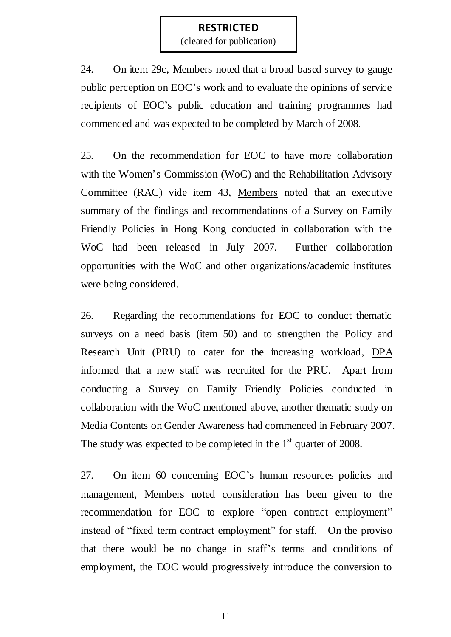(cleared for publication)

24. On item 29c, Members noted that a broad-based survey to gauge public perception on EOC's work and to evaluate the opinions of service recipients of EOC's public education and training programmes had commenced and was expected to be completed by March of 2008.

25. On the recommendation for EOC to have more collaboration with the Women's Commission (WoC) and the Rehabilitation Advisory Committee (RAC) vide item 43, Members noted that an executive summary of the findings and recommendations of a Survey on Family Friendly Policies in Hong Kong conducted in collaboration with the WoC had been released in July 2007. Further collaboration opportunities with the WoC and other organizations/academic institutes were being considered.

26. Regarding the recommendations for EOC to conduct thematic surveys on a need basis (item 50) and to strengthen the Policy and Research Unit (PRU) to cater for the increasing workload, DPA informed that a new staff was recruited for the PRU. Apart from conducting a Survey on Family Friendly Policies conducted in collaboration with the WoC mentioned above, another thematic study on Media Contents on Gender Awareness had commenced in February 2007. The study was expected to be completed in the  $1<sup>st</sup>$  quarter of 2008.

27. On item 60 concerning EOC's human resources policies and management, Members noted consideration has been given to the recommendation for EOC to explore "open contract employment" instead of "fixed term contract employment" for staff. On the proviso that there would be no change in staff's terms and conditions of employment, the EOC would progressively introduce the conversion to

11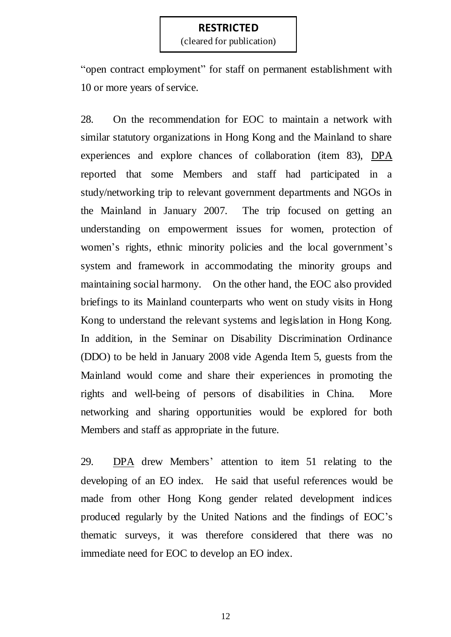(cleared for publication)

"open contract employment" for staff on permanent establishment with 10 or more years of service.

28. On the recommendation for EOC to maintain a network with similar statutory organizations in Hong Kong and the Mainland to share experiences and explore chances of collaboration (item 83), DPA reported that some Members and staff had participated in a study/networking trip to relevant government departments and NGOs in the Mainland in January 2007. The trip focused on getting an understanding on empowerment issues for women, protection of women's rights, ethnic minority policies and the local government's system and framework in accommodating the minority groups and maintaining social harmony. On the other hand, the EOC also provided briefings to its Mainland counterparts who went on study visits in Hong Kong to understand the relevant systems and legislation in Hong Kong. In addition, in the Seminar on Disability Discrimination Ordinance (DDO) to be held in January 2008 vide Agenda Item 5, guests from the Mainland would come and share their experiences in promoting the rights and well-being of persons of disabilities in China. More networking and sharing opportunities would be explored for both Members and staff as appropriate in the future.

29. DPA drew Members' attention to item 51 relating to the developing of an EO index. He said that useful references would be made from other Hong Kong gender related development indices produced regularly by the United Nations and the findings of EOC's thematic surveys, it was therefore considered that there was no immediate need for EOC to develop an EO index.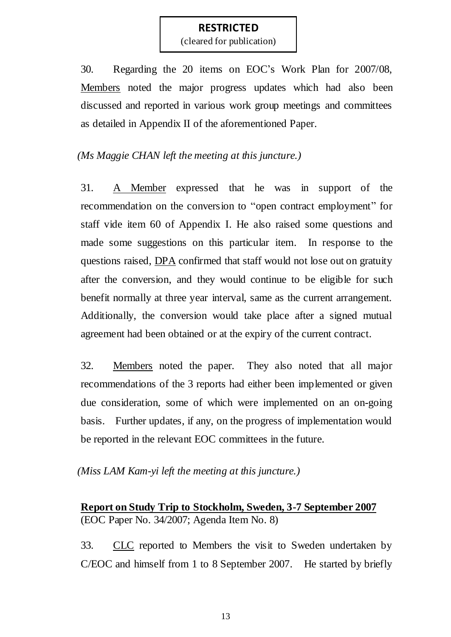(cleared for publication)

30. Regarding the 20 items on EOC's Work Plan for 2007/08, Members noted the major progress updates which had also been discussed and reported in various work group meetings and committees as detailed in Appendix II of the aforementioned Paper.

# *(Ms Maggie CHAN left the meeting at this juncture.)*

31. A Member expressed that he was in support of the recommendation on the conversion to "open contract employment" for staff vide item 60 of Appendix I. He also raised some questions and made some suggestions on this particular item. In response to the questions raised, DPA confirmed that staff would not lose out on gratuity after the conversion, and they would continue to be eligible for such benefit normally at three year interval, same as the current arrangement. Additionally, the conversion would take place after a signed mutual agreement had been obtained or at the expiry of the current contract.

32. Members noted the paper. They also noted that all major recommendations of the 3 reports had either been implemented or given due consideration, some of which were implemented on an on-going basis. Further updates, if any, on the progress of implementation would be reported in the relevant EOC committees in the future.

### *(Miss LAM Kam-yi left the meeting at this juncture.)*

# **Report on Study Trip to Stockholm, Sweden, 3-7 September 2007** (EOC Paper No. 34/2007; Agenda Item No. 8)

33. CLC reported to Members the visit to Sweden undertaken by C/EOC and himself from 1 to 8 September 2007. He started by briefly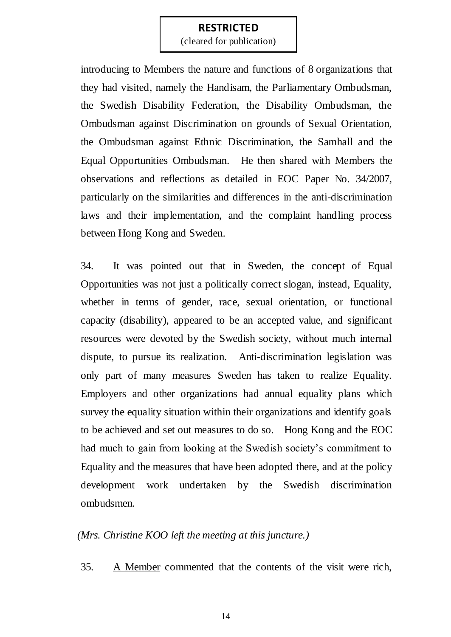(cleared for publication)

introducing to Members the nature and functions of 8 organizations that they had visited, namely the Handisam, the Parliamentary Ombudsman, the Swedish Disability Federation, the Disability Ombudsman, the Ombudsman against Discrimination on grounds of Sexual Orientation, the Ombudsman against Ethnic Discrimination, the Samhall and the Equal Opportunities Ombudsman. He then shared with Members the observations and reflections as detailed in EOC Paper No. 34/2007, particularly on the similarities and differences in the anti-discrimination laws and their implementation, and the complaint handling process between Hong Kong and Sweden.

34. It was pointed out that in Sweden, the concept of Equal Opportunities was not just a politically correct slogan, instead, Equality, whether in terms of gender, race, sexual orientation, or functional capacity (disability), appeared to be an accepted value, and significant resources were devoted by the Swedish society, without much internal dispute, to pursue its realization. Anti-discrimination legislation was only part of many measures Sweden has taken to realize Equality. Employers and other organizations had annual equality plans which survey the equality situation within their organizations and identify goals to be achieved and set out measures to do so. Hong Kong and the EOC had much to gain from looking at the Swedish society's commitment to Equality and the measures that have been adopted there, and at the policy development work undertaken by the Swedish discrimination ombudsmen.

#### *(Mrs. Christine KOO left the meeting at this juncture.)*

35. A Member commented that the contents of the visit were rich,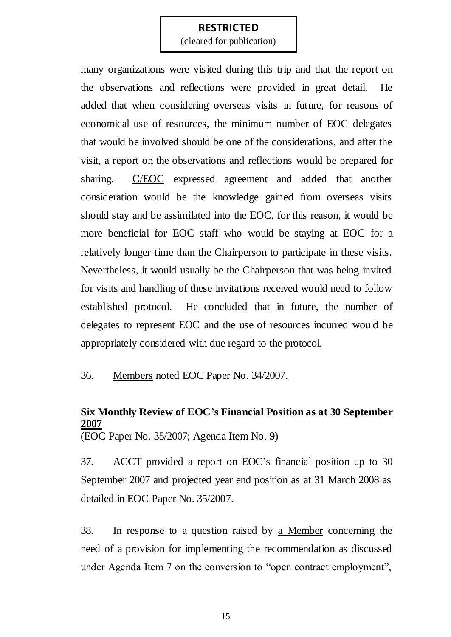(cleared for publication)

many organizations were visited during this trip and that the report on the observations and reflections were provided in great detail. He added that when considering overseas visits in future, for reasons of economical use of resources, the minimum number of EOC delegates that would be involved should be one of the considerations, and after the visit, a report on the observations and reflections would be prepared for sharing. C/EOC expressed agreement and added that another consideration would be the knowledge gained from overseas visits should stay and be assimilated into the EOC, for this reason, it would be more beneficial for EOC staff who would be staying at EOC for a relatively longer time than the Chairperson to participate in these visits. Nevertheless, it would usually be the Chairperson that was being invited for visits and handling of these invitations received would need to follow established protocol. He concluded that in future, the number of delegates to represent EOC and the use of resources incurred would be appropriately considered with due regard to the protocol.

36. Members noted EOC Paper No. 34/2007.

# **Six Monthly Review of EOC's Financial Position as at 30 September 2007**

(EOC Paper No. 35/2007; Agenda Item No. 9)

37. ACCT provided a report on EOC's financial position up to 30 September 2007 and projected year end position as at 31 March 2008 as detailed in EOC Paper No. 35/2007.

38. In response to a question raised by a Member concerning the need of a provision for implementing the recommendation as discussed under Agenda Item 7 on the conversion to "open contract employment",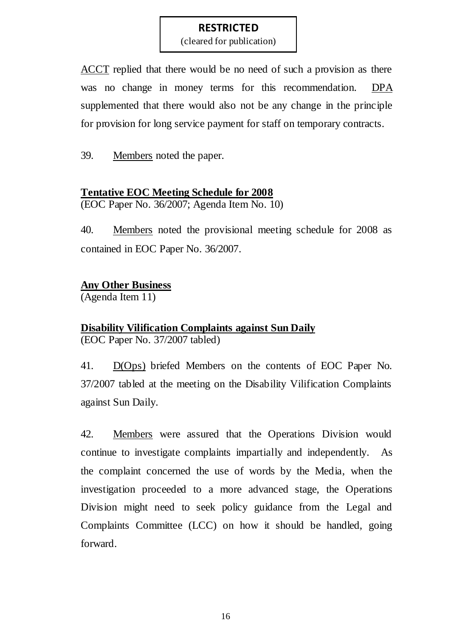(cleared for publication)

ACCT replied that there would be no need of such a provision as there was no change in money terms for this recommendation. DPA supplemented that there would also not be any change in the principle for provision for long service payment for staff on temporary contracts.

39. Members noted the paper.

## **Tentative EOC Meeting Schedule for 2008**

(EOC Paper No. 36/2007; Agenda Item No. 10)

40. Members noted the provisional meeting schedule for 2008 as contained in EOC Paper No. 36/2007.

# **Any Other Business**

(Agenda Item 11)

# **Disability Vilification Complaints against Sun Daily**

(EOC Paper No. 37/2007 tabled)

41. D(Ops) briefed Members on the contents of EOC Paper No. 37/2007 tabled at the meeting on the Disability Vilification Complaints against Sun Daily.

42. Members were assured that the Operations Division would continue to investigate complaints impartially and independently. As the complaint concerned the use of words by the Media, when the investigation proceeded to a more advanced stage, the Operations Division might need to seek policy guidance from the Legal and Complaints Committee (LCC) on how it should be handled, going forward.